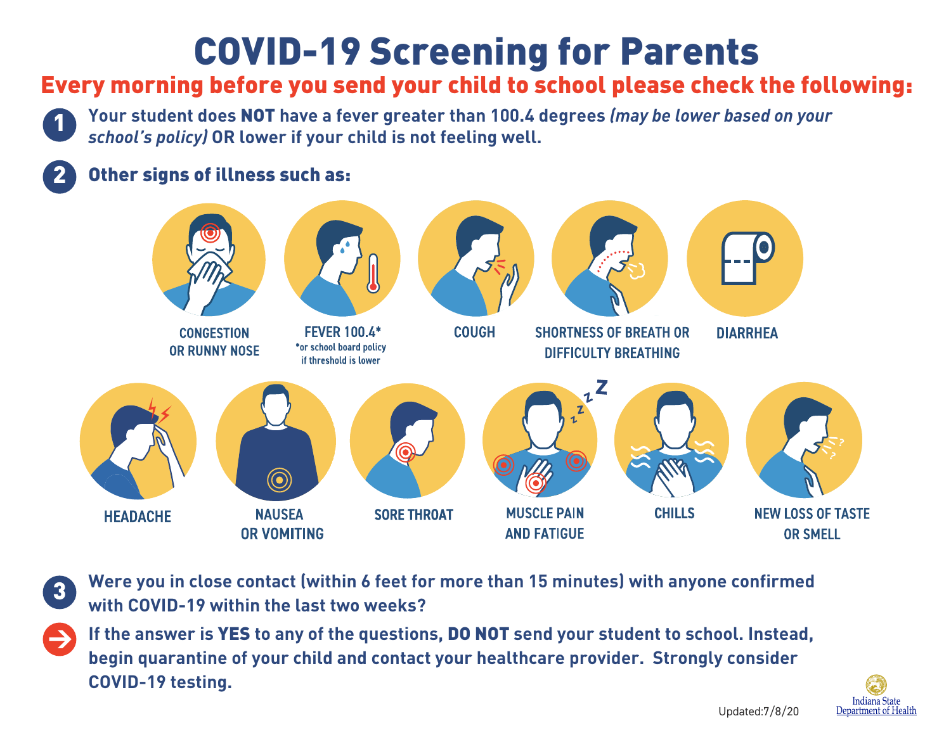## COVID-19 Screening for Parents

## Every morning before you send your child to school please check the following:

**Your student does** NOT **have a fever greater than 100.4 degrees** *(may be lower based on your school's policy)* **OR lower if your child is not feeling well.** 

## Other signs of illness such as:

1

2

3

>



**Were you in close contact (within 6 feet for more than 15 minutes) with anyone confirmed with COVID-19 within the last two weeks?**

**If the answer is** YES **to any of the questions,** DO NOT **send your student to school. Instead, begin quarantine of your child and contact your healthcare provider. Strongly consider COVID-19 testing.**